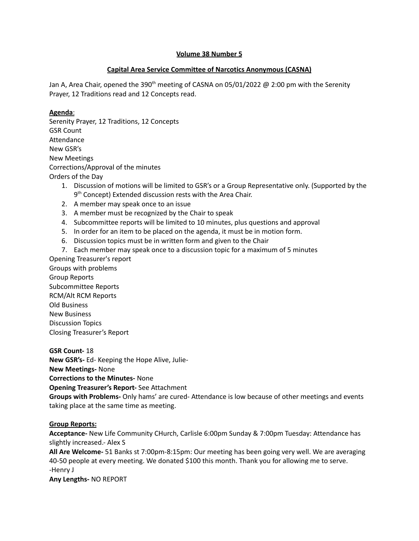#### **Volume 38 Number 5**

#### **Capital Area Service Committee of Narcotics Anonymous (CASNA)**

Jan A, Area Chair, opened the 390<sup>th</sup> meeting of CASNA on 05/01/2022 @ 2:00 pm with the Serenity Prayer, 12 Traditions read and 12 Concepts read.

#### **Agenda**:

Serenity Prayer, 12 Traditions, 12 Concepts GSR Count Attendance New GSR's New Meetings Corrections/Approval of the minutes Orders of the Day

- 1. Discussion of motions will be limited to GSR's or a Group Representative only. (Supported by the 9<sup>th</sup> Concept) Extended discussion rests with the Area Chair.
- 2. A member may speak once to an issue
- 3. A member must be recognized by the Chair to speak
- 4. Subcommittee reports will be limited to 10 minutes, plus questions and approval
- 5. In order for an item to be placed on the agenda, it must be in motion form.
- 6. Discussion topics must be in written form and given to the Chair
- 7. Each member may speak once to a discussion topic for a maximum of 5 minutes

Opening Treasurer's report Groups with problems Group Reports Subcommittee Reports RCM/Alt RCM Reports Old Business New Business Discussion Topics Closing Treasurer's Report

**GSR Count-** 18 **New GSR's-** Ed- Keeping the Hope Alive, Julie-**New Meetings-** None **Corrections to the Minutes-** None **Opening Treasurer's Report-** See Attachment **Groups with Problems-** Only hams' are cured- Attendance is low because of other meetings and events taking place at the same time as meeting.

#### **Group Reports:**

**Acceptance-** New Life Community CHurch, Carlisle 6:00pm Sunday & 7:00pm Tuesday: Attendance has slightly increased.- Alex S

**All Are Welcome-** 51 Banks st 7:00pm-8:15pm: Our meeting has been going very well. We are averaging 40-50 people at every meeting. We donated \$100 this month. Thank you for allowing me to serve. -Henry J

**Any Lengths-** NO REPORT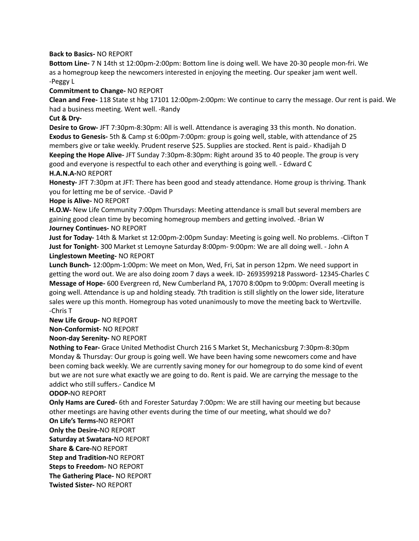#### **Back to Basics-** NO REPORT

**Bottom Line-** 7 N 14th st 12:00pm-2:00pm: Bottom line is doing well. We have 20-30 people mon-fri. We as a homegroup keep the newcomers interested in enjoying the meeting. Our speaker jam went well. -Peggy L

#### **Commitment to Change-** NO REPORT

**Clean and Free-** 118 State st hbg 17101 12:00pm-2:00pm: We continue to carry the message. Our rent is paid. We had a business meeting. Went well. -Randy

#### **Cut & Dry-**

**Desire to Grow-** JFT 7:30pm-8:30pm: All is well. Attendance is averaging 33 this month. No donation. **Exodus to Genesis-** 5th & Camp st 6:00pm-7:00pm: group is going well, stable, with attendance of 25 members give or take weekly. Prudent reserve \$25. Supplies are stocked. Rent is paid.- Khadijah D **Keeping the Hope Alive-** JFT Sunday 7:30pm-8:30pm: Right around 35 to 40 people. The group is very good and everyone is respectful to each other and everything is going well. - Edward C

#### **H.A.N.A-**NO REPORT

**Honesty-** JFT 7:30pm at JFT: There has been good and steady attendance. Home group is thriving. Thank you for letting me be of service. -David P

#### **Hope is Alive-** NO REPORT

**H.O.W-** New Life Community 7:00pm Thursdays: Meeting attendance is small but several members are gaining good clean time by becoming homegroup members and getting involved. -Brian W **Journey Continues-** NO REPORT

**Just for Today-** 14th & Market st 12:00pm-2:00pm Sunday: Meeting is going well. No problems. -Clifton T **Just for Tonight-** 300 Market st Lemoyne Saturday 8:00pm- 9:00pm: We are all doing well. - John A **Linglestown Meeting-** NO REPORT

**Lunch Bunch-** 12:00pm-1:00pm: We meet on Mon, Wed, Fri, Sat in person 12pm. We need support in getting the word out. We are also doing zoom 7 days a week. ID- 2693599218 Password- 12345-Charles C **Message of Hope-** 600 Evergreen rd, New Cumberland PA, 17070 8:00pm to 9:00pm: Overall meeting is going well. Attendance is up and holding steady. 7th tradition is still slightly on the lower side, literature sales were up this month. Homegroup has voted unanimously to move the meeting back to Wertzville. -Chris T

**New Life Group-** NO REPORT

**Non-Conformist-** NO REPORT

#### **Noon-day Serenity-** NO REPORT

**Nothing to Fear-** Grace United Methodist Church 216 S Market St, Mechanicsburg 7:30pm-8:30pm Monday & Thursday: Our group is going well. We have been having some newcomers come and have been coming back weekly. We are currently saving money for our homegroup to do some kind of event but we are not sure what exactly we are going to do. Rent is paid. We are carrying the message to the addict who still suffers.- Candice M

#### **ODOP-**NO REPORT

**Only Hams are Cured-** 6th and Forester Saturday 7:00pm: We are still having our meeting but because other meetings are having other events during the time of our meeting, what should we do?

#### **On Life's Terms-**NO REPORT

**Only the Desire-**NO REPORT

**Saturday at Swatara-**NO REPORT

**Share & Care-**NO REPORT

**Step and Tradition-**NO REPORT

**Steps to Freedom-** NO REPORT

**The Gathering Place-** NO REPORT

**Twisted Sister-** NO REPORT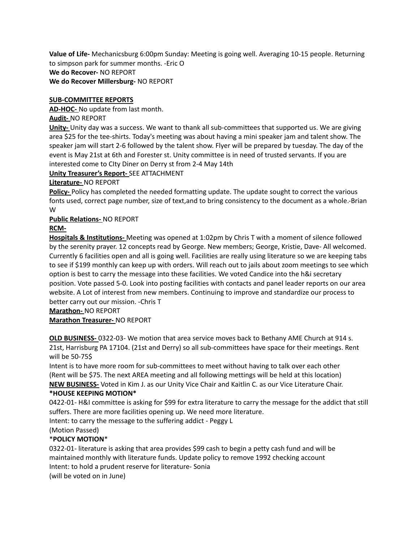**Value of Life-** Mechanicsburg 6:00pm Sunday: Meeting is going well. Averaging 10-15 people. Returning to simpson park for summer months. -Eric O **We do Recover-** NO REPORT **We do Recover Millersburg-** NO REPORT

#### **SUB-COMMITTEE REPORTS**

**AD-HOC-** No update from last month.

#### **Audit-** NO REPORT

**Unity-** Unity day was a success. We want to thank all sub-committees that supported us. We are giving area \$25 for the tee-shirts. Today's meeting was about having a mini speaker jam and talent show. The speaker jam will start 2-6 followed by the talent show. Flyer will be prepared by tuesday. The day of the event is May 21st at 6th and Forester st. Unity committee is in need of trusted servants. If you are interested come to CIty Diner on Derry st from 2-4 May 14th

#### **Unity Treasurer's Report-** SEE ATTACHMENT

#### **Literature-** NO REPORT

**Policy-** Policy has completed the needed formatting update. The update sought to correct the various fonts used, correct page number, size of text,and to bring consistency to the document as a whole.-Brian W

#### **Public Relations-** NO REPORT

#### **RCM-**

**Hospitals & Institutions-** Meeting was opened at 1:02pm by Chris T with a moment of silence followed by the serenity prayer. 12 concepts read by George. New members; George, Kristie, Dave- All welcomed. Currently 6 facilities open and all is going well. Facilities are really using literature so we are keeping tabs to see if \$199 monthly can keep up with orders. Will reach out to jails about zoom meetings to see which option is best to carry the message into these facilities. We voted Candice into the h&i secretary position. Vote passed 5-0. Look into posting facilities with contacts and panel leader reports on our area website. A Lot of interest from new members. Continuing to improve and standardize our process to better carry out our mission. -Chris T

**Marathon-** NO REPORT

#### **Marathon Treasurer-** NO REPORT

**OLD BUSINESS-** 0322-03- We motion that area service moves back to Bethany AME Church at 914 s. 21st, Harrisburg PA 17104. (21st and Derry) so all sub-committees have space for their meetings. Rent will be 50-75\$

Intent is to have more room for sub-committees to meet without having to talk over each other (Rent will be \$75. The next AREA meeting and all following mettings will be held at this location) **NEW BUSINESS-** Voted in Kim J. as our Unity Vice Chair and Kaitlin C. as our Vice Literature Chair. **\*HOUSE KEEPING MOTION\***

#### 0422-01- H&I committee is asking for \$99 for extra literature to carry the message for the addict that still suffers. There are more facilities opening up. We need more literature.

Intent: to carry the message to the suffering addict - Peggy L

# (Motion Passed)

## \***POLICY MOTION**\*

0322-01- literature is asking that area provides \$99 cash to begin a petty cash fund and will be maintained monthly with literature funds. Update policy to remove 1992 checking account Intent: to hold a prudent reserve for literature- Sonia (will be voted on in June)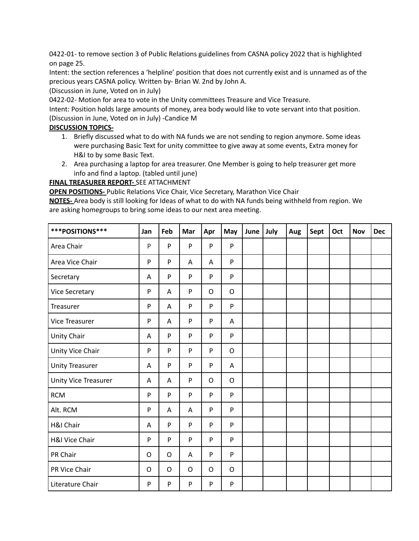0422-01- to remove section 3 of Public Relations guidelines from CASNA policy 2022 that is highlighted on page 25.

Intent: the section references a 'helpline' position that does not currently exist and is unnamed as of the precious years CASNA policy. Written by- Brian W. 2nd by John A.

(Discussion in June, Voted on in July)

0422-02- Motion for area to vote in the Unity committees Treasure and Vice Treasure.

Intent: Position holds large amounts of money, area body would like to vote servant into that position.

(Discussion in June, Voted on in July) -Candice M

#### **DISCUSSION TOPICS-**

- 1. Briefly discussed what to do with NA funds we are not sending to region anymore. Some ideas were purchasing Basic Text for unity committee to give away at some events, Extra money for H&I to by some Basic Text.
- 2. Area purchasing a laptop for area treasurer. One Member is going to help treasurer get more info and find a laptop. (tabled until june)

**FINAL TREASURER REPORT-** SEE ATTACHMENT

**OPEN POSITIONS-** Public Relations Vice Chair, Vice Secretary, Marathon Vice Chair

**NOTES-** Area body is still looking for Ideas of what to do with NA funds being withheld from region. We are asking homegroups to bring some ideas to our next area meeting.

| ***POSITIONS***        | Jan       | Feb         | Mar | Apr     | May          | June | July | Aug | Sept | Oct | <b>Nov</b> | <b>Dec</b> |
|------------------------|-----------|-------------|-----|---------|--------------|------|------|-----|------|-----|------------|------------|
| Area Chair             | P         | P           | P   | P       | P            |      |      |     |      |     |            |            |
| Area Vice Chair        | P         | P           | Α   | A       | P            |      |      |     |      |     |            |            |
| Secretary              | A         | P           | P   | P       | P            |      |      |     |      |     |            |            |
| <b>Vice Secretary</b>  | ${\sf P}$ | Α           | P   | O       | $\circ$      |      |      |     |      |     |            |            |
| Treasurer              | P         | Α           | P   | P       | P            |      |      |     |      |     |            |            |
| Vice Treasurer         | P         | Α           | P   | P       | A            |      |      |     |      |     |            |            |
| Unity Chair            | A         | P           | P   | P       | P            |      |      |     |      |     |            |            |
| Unity Vice Chair       | ${\sf P}$ | P           | P   | P       | $\mathsf O$  |      |      |     |      |     |            |            |
| <b>Unity Treasurer</b> | A         | P           | P   | P       | Α            |      |      |     |      |     |            |            |
| Unity Vice Treasurer   | A         | Α           | P   | $\circ$ | $\mathsf{O}$ |      |      |     |      |     |            |            |
| <b>RCM</b>             | ${\sf P}$ | P           | P   | P       | P            |      |      |     |      |     |            |            |
| Alt. RCM               | ${\sf P}$ | Α           | Α   | P       | P            |      |      |     |      |     |            |            |
| H&I Chair              | A         | P           | P   | P       | P            |      |      |     |      |     |            |            |
| H&I Vice Chair         | ${\sf P}$ | P           | P   | P       | P            |      |      |     |      |     |            |            |
| PR Chair               | O         | $\mathsf O$ | A   | P       | P            |      |      |     |      |     |            |            |
| PR Vice Chair          | O         | O           | O   | O       | O            |      |      |     |      |     |            |            |
| Literature Chair       | ${\sf P}$ | P           | P   | P       | P            |      |      |     |      |     |            |            |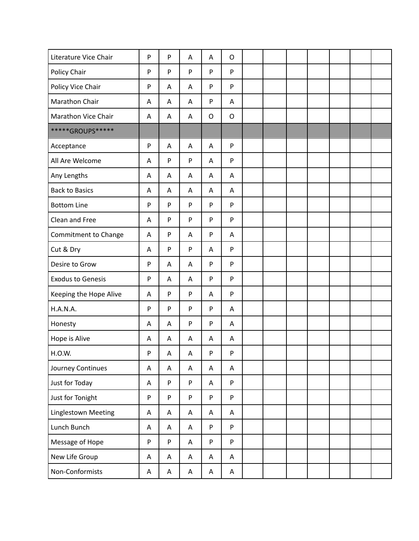| Literature Vice Chair    | ${\sf P}$ | P | Α                         | A           | $\mathsf O$ |  |  |  |  |
|--------------------------|-----------|---|---------------------------|-------------|-------------|--|--|--|--|
| Policy Chair             | ${\sf P}$ | P | P                         | P           | P           |  |  |  |  |
| Policy Vice Chair        | ${\sf P}$ | Α | Α                         | P           | P           |  |  |  |  |
| Marathon Chair           | Α         | Α | A                         | P           | A           |  |  |  |  |
| Marathon Vice Chair      | A         | Α | Α                         | $\mathsf O$ | $\mathsf O$ |  |  |  |  |
| *****GROUPS*****         |           |   |                           |             |             |  |  |  |  |
| Acceptance               | ${\sf P}$ | A | A                         | A           | P           |  |  |  |  |
| All Are Welcome          | A         | P | ${\sf P}$                 | Α           | P           |  |  |  |  |
| Any Lengths              | Α         | Α | Α                         | Α           | A           |  |  |  |  |
| <b>Back to Basics</b>    | Α         | Α | A                         | Α           | Α           |  |  |  |  |
| <b>Bottom Line</b>       | ${\sf P}$ | P | ${\sf P}$                 | P           | P           |  |  |  |  |
| Clean and Free           | A         | P | ${\sf P}$                 | P           | P           |  |  |  |  |
| Commitment to Change     | Α         | P | A                         | P           | Α           |  |  |  |  |
| Cut & Dry                | Α         | P | ${\sf P}$                 | Α           | P           |  |  |  |  |
| Desire to Grow           | ${\sf P}$ | Α | Α                         | P           | P           |  |  |  |  |
| <b>Exodus to Genesis</b> | P         | Α | Α                         | P           | P           |  |  |  |  |
| Keeping the Hope Alive   | Α         | P | ${\sf P}$                 | Α           | P           |  |  |  |  |
| H.A.N.A.                 | ${\sf P}$ | P | P                         | P           | A           |  |  |  |  |
| Honesty                  | Α         | Α | ${\sf P}$                 | ${\sf P}$   | Α           |  |  |  |  |
| Hope is Alive            | Α         | Α | A                         | Α           | Α           |  |  |  |  |
| H.O.W.                   | ${\sf P}$ | A | A                         | P           | P           |  |  |  |  |
| Journey Continues        | Α         | A | A                         | A           | A           |  |  |  |  |
| Just for Today           | Α         | P | ${\sf P}$                 | A           | P           |  |  |  |  |
| Just for Tonight         | ${\sf P}$ | P | $\mathsf{P}$              | P           | P           |  |  |  |  |
| Linglestown Meeting      | A         | A | A                         | A           | A           |  |  |  |  |
| Lunch Bunch              | A         | A | A                         | P           | P           |  |  |  |  |
| Message of Hope          | ${\sf P}$ | P | A                         | P           | P           |  |  |  |  |
| New Life Group           | Α         | A | $\boldsymbol{\mathsf{A}}$ | A           | A           |  |  |  |  |
| Non-Conformists          | Α         | Α | $\boldsymbol{\mathsf{A}}$ | A           | A           |  |  |  |  |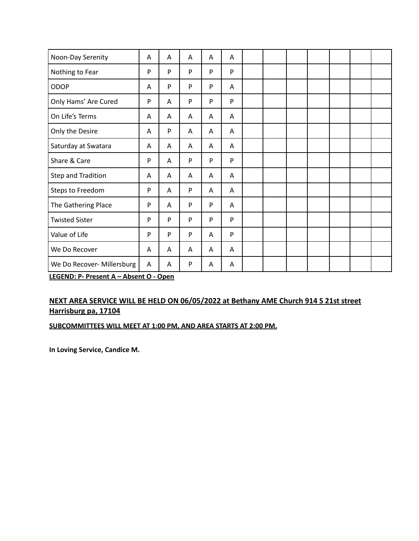| Noon-Day Serenity          | Α | A | Α | Α | Α |  |  |  |  |
|----------------------------|---|---|---|---|---|--|--|--|--|
| Nothing to Fear            | P | P | P | P | P |  |  |  |  |
| ODOP                       | A | P | P | P | Α |  |  |  |  |
| Only Hams' Are Cured       | P | Α | P | P | P |  |  |  |  |
| On Life's Terms            | Α | Α | A | A | A |  |  |  |  |
| Only the Desire            | Α | P | A | A | A |  |  |  |  |
| Saturday at Swatara        | Α | Α | A | Α | A |  |  |  |  |
| Share & Care               | P | Α | P | P | P |  |  |  |  |
| Step and Tradition         | Α | Α | Α | Α | A |  |  |  |  |
| Steps to Freedom           | P | Α | P | Α | Α |  |  |  |  |
| The Gathering Place        | P | Α | P | P | Α |  |  |  |  |
| <b>Twisted Sister</b>      | P | P | P | P | P |  |  |  |  |
| Value of Life              | P | P | P | A | P |  |  |  |  |
| We Do Recover              | Α | A | A | Α | A |  |  |  |  |
| We Do Recover- Millersburg | Α | Α | P | Α | A |  |  |  |  |

**LEGEND: P- Present A – Absent O - Open**

### **NEXT AREA SERVICE WILL BE HELD ON 06/05/2022 at Bethany AME Church 914 S 21st street Harrisburg pa, 17104**

#### **SUBCOMMITTEES WILL MEET AT 1:00 PM, AND AREA STARTS AT 2:00 PM.**

**In Loving Service, Candice M.**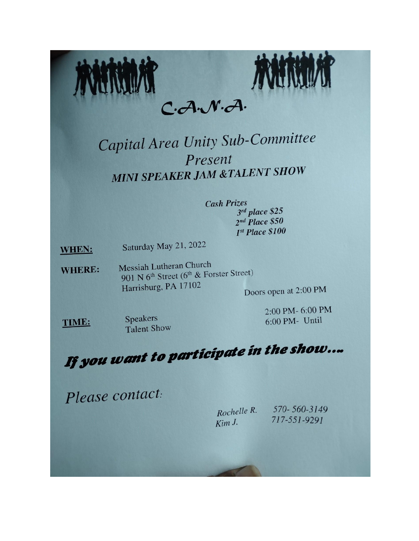

# Capital Area Unity Sub-Committee Present **MINI SPEAKER JAM &TALENT SHOW**

# **Cash Prizes**  $3^{rd}$  place \$25  $2<sup>nd</sup> Place $50$  $I<sup>st</sup> Place $100$

Saturday May 21, 2022 **WHEN:** 

Messiah Lutheran Church **WHERE:** 901 N 6<sup>th</sup> Street (6<sup>th</sup> & Forster Street) Harrisburg, PA 17102 Doors open at 2:00 PM

TIME:

Speakers **Talent Show**  2:00 PM-6:00 PM 6:00 PM- Until

# If you want to participate in the show...

Please contact:

Rochelle R. Kim J.

570-560-3149 717-551-9291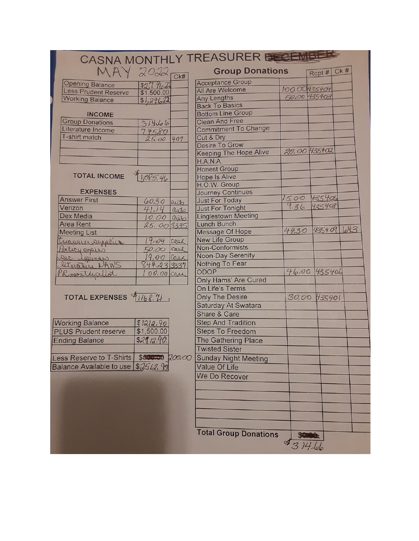|                                          |              |                          | CASNA MONTHLY TREASURER      |              |               |     |
|------------------------------------------|--------------|--------------------------|------------------------------|--------------|---------------|-----|
| MAY 2022                                 |              | $\overline{\text{Ck}\#}$ | <b>Group Donations</b>       |              | Rept#         | Ck# |
| <b>Opening Balance</b>                   | \$2,79622    |                          | <b>Acceptance Group</b>      |              |               |     |
| <b>Less Prudent Reserve</b>              | \$1,500.00   |                          | All Are Welcome              | 100.00435404 |               |     |
| <b>Working Balance</b>                   | 51,29622     |                          | <b>Any Lengths</b>           | 5000 435403  |               |     |
|                                          |              |                          | <b>Back To Basics</b>        |              |               |     |
| <b>INCOME</b>                            |              |                          | <b>Bottom Line Group</b>     |              |               |     |
| <b>Group Donations</b>                   | 31466        |                          | <b>Clean And Free</b>        |              |               |     |
| Literature Income                        | 74580        |                          | <b>Commitment To Change</b>  |              |               |     |
| T-shirt match                            | 25.00        | 407                      | Cut & Dry                    |              |               |     |
|                                          |              |                          | <b>Desire To Grow</b>        |              |               |     |
|                                          |              |                          | Keeping The Hope Alive       | 20.00 435402 |               |     |
|                                          |              |                          | H.A.N.A.                     |              |               |     |
|                                          |              |                          | <b>Honest Group</b>          |              |               |     |
| <b>TOTAL INCOME</b>                      | 1,085,46     |                          | <b>Hope Is Alive</b>         |              |               |     |
|                                          |              |                          | H.O.W. Group                 |              |               |     |
| <b>EXPENSES</b>                          |              |                          | <b>Journey Continues</b>     |              |               |     |
| <b>Answer First</b>                      | 6030         | auto                     | <b>Just For Today</b>        | 15.00        | <b>K35405</b> |     |
| Verizon                                  | 41.24        | auto                     | <b>Just For Tonight</b>      | 9.36         | 425408        |     |
| Dex Media                                | $10.00$ auto |                          | <b>Linglestown Meeting</b>   |              |               |     |
| <b>Area Rent</b>                         | 25,003335    |                          | <b>Lunch Bunch</b>           |              |               |     |
| <b>Meeting List</b>                      |              |                          | <b>Message Of Hope</b>       | 4430         | 435409 Lot3   |     |
| treasurer supplies                       | 19.04        | Case                     | <b>New Life Group</b>        |              |               |     |
|                                          | 50.00        | cash                     | Non-Conformists              |              |               |     |
| Selicy esplis                            | 19,00        |                          | <b>Noon-Day Serenity</b>     |              |               |     |
| Sec. ippenses                            | 844.23 3337  | Casa                     | Nothing To Fear              |              |               |     |
|                                          |              |                          | ODOP                         | 46,00        | 435406        |     |
| Rmonthjallot                             | 00.00 Cash   |                          | <b>Only Hams' Are Cured</b>  |              |               |     |
|                                          |              |                          | On Life's Terms              |              |               |     |
| TOTAL EXPENSES 41168.71                  |              |                          |                              |              |               |     |
|                                          |              |                          | <b>Only The Desire</b>       | 30.00        | 435401        |     |
|                                          |              |                          | Saturday At Swatara          |              |               |     |
|                                          |              |                          | Share & Care                 |              |               |     |
| <b>Working Balance</b>                   | \$1212.90    |                          | <b>Step And Tradition</b>    |              |               |     |
| <b>PLUS Prudent reserve</b>              | \$1,500.00   |                          | <b>Steps To Freedom</b>      |              |               |     |
| <b>Ending Balance</b>                    | 52912.90.    |                          | The Gathering Place          |              |               |     |
|                                          |              |                          | <b>Twisted Sister</b>        |              |               |     |
| Less Reserve to T-Shirts \$500.00 200,00 |              |                          | Sunday Night Meeting         |              |               |     |
| Balance Available to use \$25/2, 90      |              |                          | <b>Value Of Life</b>         |              |               |     |
|                                          |              |                          |                              |              |               |     |
|                                          |              |                          | We Do Recover                |              |               |     |
|                                          |              |                          |                              |              |               |     |
|                                          |              |                          |                              |              |               |     |
|                                          |              |                          |                              |              |               |     |
|                                          |              |                          |                              |              |               |     |
|                                          |              |                          |                              |              |               |     |
|                                          |              |                          |                              |              |               |     |
|                                          |              |                          | <b>Total Group Donations</b> |              |               |     |
|                                          |              |                          |                              | \$ 3 14.66   |               |     |
|                                          |              |                          |                              |              |               |     |